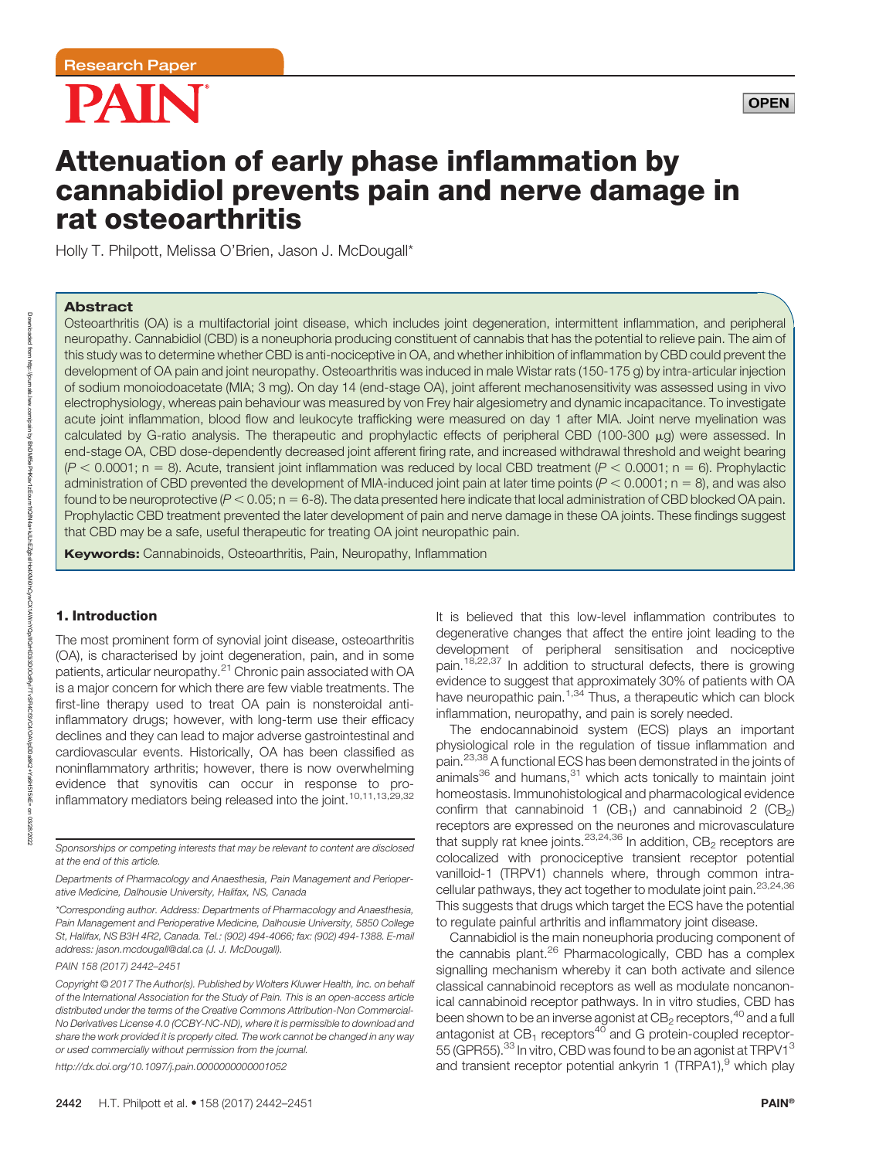



# Attenuation of early phase inflammation by cannabidiol prevents pain and nerve damage in rat osteoarthritis

Holly T. Philpott, Melissa O'Brien, Jason J. McDougall\*

# Abstract

Osteoarthritis (OA) is a multifactorial joint disease, which includes joint degeneration, intermittent inflammation, and peripheral neuropathy. Cannabidiol (CBD) is a noneuphoria producing constituent of cannabis that has the potential to relieve pain. The aim of this study was to determine whether CBD is anti-nociceptive in OA, and whether inhibition of inflammation by CBD could prevent the development of OA pain and joint neuropathy. Osteoarthritis was induced in male Wistar rats (150-175 g) by intra-articular injection of sodium monoiodoacetate (MIA; 3 mg). On day 14 (end-stage OA), joint afferent mechanosensitivity was assessed using in vivo electrophysiology, whereas pain behaviour was measured by von Frey hair algesiometry and dynamic incapacitance. To investigate acute joint inflammation, blood flow and leukocyte trafficking were measured on day 1 after MIA. Joint nerve myelination was calculated by G-ratio analysis. The therapeutic and prophylactic effects of peripheral CBD (100-300  $\mu$ g) were assessed. In end-stage OA, CBD dose-dependently decreased joint afferent firing rate, and increased withdrawal threshold and weight bearing  $(P < 0.0001$ ; n = 8). Acute, transient joint inflammation was reduced by local CBD treatment  $(P < 0.0001$ ; n = 6). Prophylactic administration of CBD prevented the development of MIA-induced joint pain at later time points ( $P < 0.0001$ ; n = 8), and was also found to be neuroprotective ( $P < 0.05$ ; n = 6-8). The data presented here indicate that local administration of CBD blocked OA pain. Prophylactic CBD treatment prevented the later development of pain and nerve damage in these OA joints. These findings suggest that CBD may be a safe, useful therapeutic for treating OA joint neuropathic pain.

**Keywords:** Cannabinoids, Osteoarthritis, Pain, Neuropathy, Inflammation

# 1. Introduction

The most prominent form of synovial joint disease, osteoarthritis (OA), is characterised by joint degeneration, pain, and in some patients, articular neuropathy.<sup>21</sup> Chronic pain associated with OA is a major concern for which there are few viable treatments. The first-line therapy used to treat OA pain is nonsteroidal antiinflammatory drugs; however, with long-term use their efficacy declines and they can lead to major adverse gastrointestinal and cardiovascular events. Historically, OA has been classified as noninflammatory arthritis; however, there is now overwhelming evidence that synovitis can occur in response to proinflammatory mediators being released into the joint.<sup>10,11,13,29,32</sup>

<http://dx.doi.org/10.1097/j.pain.0000000000001052>

It is believed that this low-level inflammation contributes to degenerative changes that affect the entire joint leading to the development of peripheral sensitisation and nociceptive pain.<sup>18,22,37</sup> In addition to structural defects, there is growing evidence to suggest that approximately 30% of patients with OA have neuropathic pain.<sup>1,34</sup> Thus, a therapeutic which can block inflammation, neuropathy, and pain is sorely needed.

The endocannabinoid system (ECS) plays an important physiological role in the regulation of tissue inflammation and pain.23,38 A functional ECS has been demonstrated in the joints of animals $36$  and humans, $31$  which acts tonically to maintain joint homeostasis. Immunohistological and pharmacological evidence confirm that cannabinoid 1 (CB<sub>1</sub>) and cannabinoid 2 (CB<sub>2</sub>) receptors are expressed on the neurones and microvasculature that supply rat knee joints.  $23,24,36$  In addition,  $CB<sub>2</sub>$  receptors are colocalized with pronociceptive transient receptor potential vanilloid-1 (TRPV1) channels where, through common intracellular pathways, they act together to modulate joint pain.23,24,36 This suggests that drugs which target the ECS have the potential to regulate painful arthritis and inflammatory joint disease.

Cannabidiol is the main noneuphoria producing component of the cannabis plant.<sup>26</sup> Pharmacologically, CBD has a complex signalling mechanism whereby it can both activate and silence classical cannabinoid receptors as well as modulate noncanonical cannabinoid receptor pathways. In in vitro studies, CBD has been shown to be an inverse agonist at  $CB_2$  receptors,  $^{40}$  and a full antagonist at  $CB_1$  receptors<sup>40</sup> and G protein-coupled receptor-55 (GPR55).<sup>33</sup> In vitro, CBD was found to be an agonist at TRPV1<sup>3</sup> and transient receptor potential ankyrin 1 (TRPA1), $9$  which play

Sponsorships or competing interests that may be relevant to content are disclosed at the end of this article.

Departments of Pharmacology and Anaesthesia, Pain Management and Perioperative Medicine, Dalhousie University, Halifax, NS, Canada

<sup>\*</sup>Corresponding author. Address: Departments of Pharmacology and Anaesthesia, Pain Management and Perioperative Medicine, Dalhousie University, 5850 College St, Halifax, NS B3H 4R2, Canada. Tel.: (902) 494-4066; fax: (902) 494-1388. E-mail address: [jason.mcdougall@dal.ca](mailto:jason.mcdougall@dal.ca) (J. J. McDougall).

PAIN 158 (2017) 2442–2451

Copyright © 2017 The Author(s). Published by Wolters Kluwer Health, Inc. on behalf of the International Association for the Study of Pain. This is an open-access article distributed under the terms of the [Creative Commons Attribution-Non Commercial-](http://creativecommons.org/licenses/by-nc-nd/4.0/)[No Derivatives License 4.0 \(CCBY-NC-ND\)](http://creativecommons.org/licenses/by-nc-nd/4.0/), where it is permissible to download and share the work provided it is properly cited. The work cannot be changed in any way or used commercially without permission from the journal.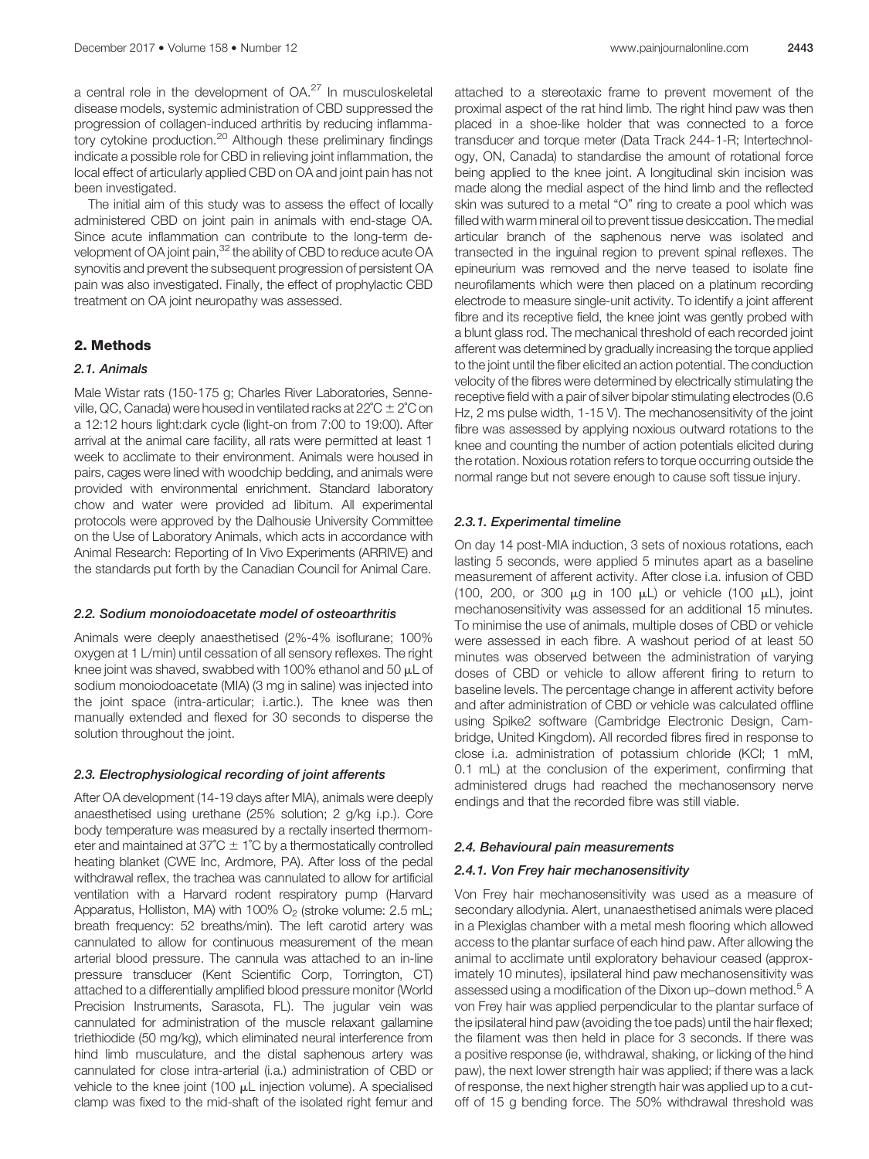a central role in the development of OA.<sup>27</sup> In musculoskeletal disease models, systemic administration of CBD suppressed the progression of collagen-induced arthritis by reducing inflammatory cytokine production.<sup>20</sup> Although these preliminary findings indicate a possible role for CBD in relieving joint inflammation, the local effect of articularly applied CBD on OA and joint pain has not been investigated.

The initial aim of this study was to assess the effect of locally administered CBD on joint pain in animals with end-stage OA. Since acute inflammation can contribute to the long-term development of OA joint pain,<sup>32</sup> the ability of CBD to reduce acute OA synovitis and prevent the subsequent progression of persistent OA pain was also investigated. Finally, the effect of prophylactic CBD treatment on OA joint neuropathy was assessed.

# 2. Methods

# 2.1. Animals

Male Wistar rats (150-175 g; Charles River Laboratories, Senneville, QC, Canada) were housed in ventilated racks at  $22^{\circ}C \pm 2^{\circ}C$  on a 12:12 hours light:dark cycle (light-on from 7:00 to 19:00). After arrival at the animal care facility, all rats were permitted at least 1 week to acclimate to their environment. Animals were housed in pairs, cages were lined with woodchip bedding, and animals were provided with environmental enrichment. Standard laboratory chow and water were provided ad libitum. All experimental protocols were approved by the Dalhousie University Committee on the Use of Laboratory Animals, which acts in accordance with Animal Research: Reporting of In Vivo Experiments (ARRIVE) and the standards put forth by the Canadian Council for Animal Care.

# 2.2. Sodium monoiodoacetate model of osteoarthritis

Animals were deeply anaesthetised (2%-4% isoflurane; 100% oxygen at 1 L/min) until cessation of all sensory reflexes. The right knee joint was shaved, swabbed with 100% ethanol and 50  $\mu$ L of sodium monoiodoacetate (MIA) (3 mg in saline) was injected into the joint space (intra-articular; i.artic.). The knee was then manually extended and flexed for 30 seconds to disperse the solution throughout the joint.

# 2.3. Electrophysiological recording of joint afferents

After OA development (14-19 days after MIA), animals were deeply anaesthetised using urethane (25% solution; 2 g/kg i.p.). Core body temperature was measured by a rectally inserted thermometer and maintained at  $37^{\circ}C \pm 1^{\circ}C$  by a thermostatically controlled heating blanket (CWE Inc, Ardmore, PA). After loss of the pedal withdrawal reflex, the trachea was cannulated to allow for artificial ventilation with a Harvard rodent respiratory pump (Harvard Apparatus, Holliston, MA) with 100%  $O<sub>2</sub>$  (stroke volume: 2.5 mL; breath frequency: 52 breaths/min). The left carotid artery was cannulated to allow for continuous measurement of the mean arterial blood pressure. The cannula was attached to an in-line pressure transducer (Kent Scientific Corp, Torrington, CT) attached to a differentially amplified blood pressure monitor (World Precision Instruments, Sarasota, FL). The jugular vein was cannulated for administration of the muscle relaxant gallamine triethiodide (50 mg/kg), which eliminated neural interference from hind limb musculature, and the distal saphenous artery was cannulated for close intra-arterial (i.a.) administration of CBD or vehicle to the knee joint (100 µL injection volume). A specialised clamp was fixed to the mid-shaft of the isolated right femur and attached to a stereotaxic frame to prevent movement of the proximal aspect of the rat hind limb. The right hind paw was then placed in a shoe-like holder that was connected to a force transducer and torque meter (Data Track 244-1-R; Intertechnology, ON, Canada) to standardise the amount of rotational force being applied to the knee joint. A longitudinal skin incision was made along the medial aspect of the hind limb and the reflected skin was sutured to a metal "O" ring to create a pool which was filled with warm mineral oil to prevent tissue desiccation. The medial articular branch of the saphenous nerve was isolated and transected in the inguinal region to prevent spinal reflexes. The epineurium was removed and the nerve teased to isolate fine neurofilaments which were then placed on a platinum recording electrode to measure single-unit activity. To identify a joint afferent fibre and its receptive field, the knee joint was gently probed with a blunt glass rod. The mechanical threshold of each recorded joint afferent was determined by gradually increasing the torque applied to the joint until the fiber elicited an action potential. The conduction velocity of the fibres were determined by electrically stimulating the receptive field with a pair of silver bipolar stimulating electrodes (0.6 Hz, 2 ms pulse width, 1-15 V). The mechanosensitivity of the joint fibre was assessed by applying noxious outward rotations to the knee and counting the number of action potentials elicited during the rotation. Noxious rotation refers to torque occurring outside the normal range but not severe enough to cause soft tissue injury.

# 2.3.1. Experimental timeline

On day 14 post-MIA induction, 3 sets of noxious rotations, each lasting 5 seconds, were applied 5 minutes apart as a baseline measurement of afferent activity. After close i.a. infusion of CBD (100, 200, or 300  $\mu$ g in 100  $\mu$ L) or vehicle (100  $\mu$ L), joint mechanosensitivity was assessed for an additional 15 minutes. To minimise the use of animals, multiple doses of CBD or vehicle were assessed in each fibre. A washout period of at least 50 minutes was observed between the administration of varying doses of CBD or vehicle to allow afferent firing to return to baseline levels. The percentage change in afferent activity before and after administration of CBD or vehicle was calculated offline using Spike2 software (Cambridge Electronic Design, Cambridge, United Kingdom). All recorded fibres fired in response to close i.a. administration of potassium chloride (KCl; 1 mM, 0.1 mL) at the conclusion of the experiment, confirming that administered drugs had reached the mechanosensory nerve endings and that the recorded fibre was still viable.

# 2.4. Behavioural pain measurements

# 2.4.1. Von Frey hair mechanosensitivity

Von Frey hair mechanosensitivity was used as a measure of secondary allodynia. Alert, unanaesthetised animals were placed in a Plexiglas chamber with a metal mesh flooring which allowed access to the plantar surface of each hind paw. After allowing the animal to acclimate until exploratory behaviour ceased (approximately 10 minutes), ipsilateral hind paw mechanosensitivity was assessed using a modification of the Dixon up-down method.<sup>5</sup> A von Frey hair was applied perpendicular to the plantar surface of the ipsilateral hind paw (avoiding the toe pads) until the hair flexed; the filament was then held in place for 3 seconds. If there was a positive response (ie, withdrawal, shaking, or licking of the hind paw), the next lower strength hair was applied; if there was a lack of response, the next higher strength hair was applied up to a cutoff of 15 g bending force. The 50% withdrawal threshold was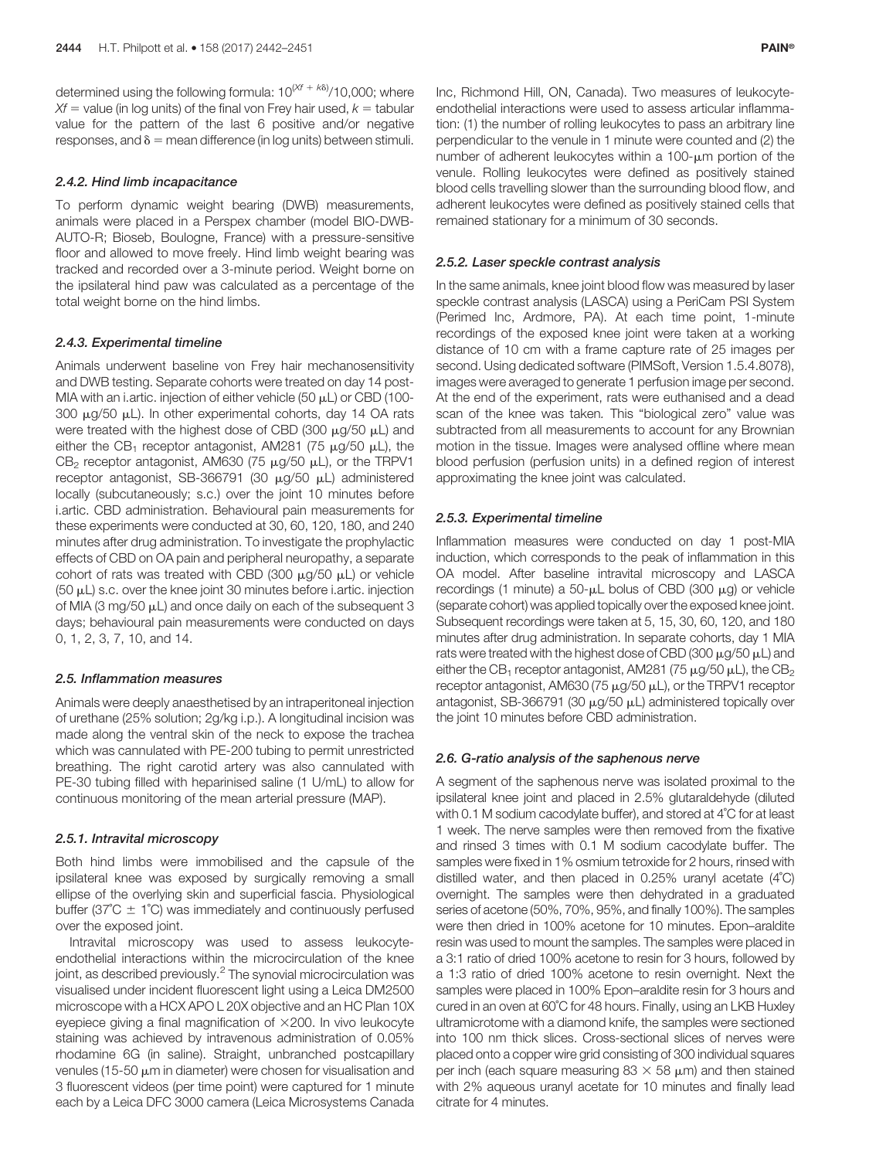determined using the following formula:  $10^{(\mathcal{X}f + k\delta)}/10,000$ ; where  $Xf$  = value (in log units) of the final von Frey hair used,  $k =$  tabular value for the pattern of the last 6 positive and/or negative responses, and  $\delta$  = mean difference (in log units) between stimuli.

#### 2.4.2. Hind limb incapacitance

To perform dynamic weight bearing (DWB) measurements, animals were placed in a Perspex chamber (model BIO-DWB-AUTO-R; Bioseb, Boulogne, France) with a pressure-sensitive floor and allowed to move freely. Hind limb weight bearing was tracked and recorded over a 3-minute period. Weight borne on the ipsilateral hind paw was calculated as a percentage of the total weight borne on the hind limbs.

# 2.4.3. Experimental timeline

Animals underwent baseline von Frey hair mechanosensitivity and DWB testing. Separate cohorts were treated on day 14 post-MIA with an i.artic. injection of either vehicle  $(50 \mu L)$  or CBD (100-300  $\mu$ g/50  $\mu$ L). In other experimental cohorts, day 14 OA rats were treated with the highest dose of CBD (300  $\mu$ g/50  $\mu$ L) and either the CB<sub>1</sub> receptor antagonist, AM281 (75  $\mu$ g/50  $\mu$ L), the  $CB<sub>2</sub>$  receptor antagonist, AM630 (75  $\mu$ g/50  $\mu$ L), or the TRPV1 receptor antagonist, SB-366791 (30 µg/50 µL) administered locally (subcutaneously; s.c.) over the joint 10 minutes before i.artic. CBD administration. Behavioural pain measurements for these experiments were conducted at 30, 60, 120, 180, and 240 minutes after drug administration. To investigate the prophylactic effects of CBD on OA pain and peripheral neuropathy, a separate cohort of rats was treated with CBD (300  $\mu$ g/50  $\mu$ L) or vehicle  $(50 \mu L)$  s.c. over the knee joint 30 minutes before i.artic. injection of MIA (3 mg/50  $\mu$ L) and once daily on each of the subsequent 3 days; behavioural pain measurements were conducted on days 0, 1, 2, 3, 7, 10, and 14.

#### 2.5. Inflammation measures

Animals were deeply anaesthetised by an intraperitoneal injection of urethane (25% solution; 2g/kg i.p.). A longitudinal incision was made along the ventral skin of the neck to expose the trachea which was cannulated with PE-200 tubing to permit unrestricted breathing. The right carotid artery was also cannulated with PE-30 tubing filled with heparinised saline (1 U/mL) to allow for continuous monitoring of the mean arterial pressure (MAP).

#### 2.5.1. Intravital microscopy

Both hind limbs were immobilised and the capsule of the ipsilateral knee was exposed by surgically removing a small ellipse of the overlying skin and superficial fascia. Physiological buffer (37 $^{\circ}$ C  $\pm$  1 $^{\circ}$ C) was immediately and continuously perfused over the exposed joint.

Intravital microscopy was used to assess leukocyteendothelial interactions within the microcirculation of the knee joint, as described previously.<sup>2</sup> The synovial microcirculation was visualised under incident fluorescent light using a Leica DM2500 microscope with a HCX APO L 20X objective and an HC Plan 10X eyepiece giving a final magnification of  $\times$  200. In vivo leukocyte staining was achieved by intravenous administration of 0.05% rhodamine 6G (in saline). Straight, unbranched postcapillary venules (15-50  $\mu$ m in diameter) were chosen for visualisation and 3 fluorescent videos (per time point) were captured for 1 minute each by a Leica DFC 3000 camera (Leica Microsystems Canada Inc, Richmond Hill, ON, Canada). Two measures of leukocyteendothelial interactions were used to assess articular inflammation: (1) the number of rolling leukocytes to pass an arbitrary line perpendicular to the venule in 1 minute were counted and (2) the number of adherent leukocytes within a  $100$ - $\mu$ m portion of the venule. Rolling leukocytes were defined as positively stained blood cells travelling slower than the surrounding blood flow, and adherent leukocytes were defined as positively stained cells that remained stationary for a minimum of 30 seconds.

#### 2.5.2. Laser speckle contrast analysis

In the same animals, knee joint blood flow was measured by laser speckle contrast analysis (LASCA) using a PeriCam PSI System (Perimed Inc, Ardmore, PA). At each time point, 1-minute recordings of the exposed knee joint were taken at a working distance of 10 cm with a frame capture rate of 25 images per second. Using dedicated software (PIMSoft, Version 1.5.4.8078), images were averaged to generate 1 perfusion image per second. At the end of the experiment, rats were euthanised and a dead scan of the knee was taken. This "biological zero" value was subtracted from all measurements to account for any Brownian motion in the tissue. Images were analysed offline where mean blood perfusion (perfusion units) in a defined region of interest approximating the knee joint was calculated.

# 2.5.3. Experimental timeline

Inflammation measures were conducted on day 1 post-MIA induction, which corresponds to the peak of inflammation in this OA model. After baseline intravital microscopy and LASCA recordings (1 minute) a  $50$ - $\mu$ L bolus of CBD (300  $\mu$ g) or vehicle (separate cohort) was applied topically over the exposed knee joint. Subsequent recordings were taken at 5, 15, 30, 60, 120, and 180 minutes after drug administration. In separate cohorts, day 1 MIA rats were treated with the highest dose of CBD (300  $\mu$ g/50  $\mu$ L) and either the CB<sub>1</sub> receptor antagonist, AM281 (75  $\mu$ g/50  $\mu$ L), the CB<sub>2</sub> receptor antagonist, AM630 (75  $\mu$ g/50  $\mu$ L), or the TRPV1 receptor antagonist, SB-366791 (30  $\mu$ g/50  $\mu$ L) administered topically over the joint 10 minutes before CBD administration.

# 2.6. G-ratio analysis of the saphenous nerve

A segment of the saphenous nerve was isolated proximal to the ipsilateral knee joint and placed in 2.5% glutaraldehyde (diluted with 0.1 M sodium cacodylate buffer), and stored at 4˚C for at least 1 week. The nerve samples were then removed from the fixative and rinsed 3 times with 0.1 M sodium cacodylate buffer. The samples were fixed in 1% osmium tetroxide for 2 hours, rinsed with distilled water, and then placed in 0.25% uranyl acetate (4˚C) overnight. The samples were then dehydrated in a graduated series of acetone (50%, 70%, 95%, and finally 100%). The samples were then dried in 100% acetone for 10 minutes. Epon–araldite resin was used to mount the samples. The samples were placed in a 3:1 ratio of dried 100% acetone to resin for 3 hours, followed by a 1:3 ratio of dried 100% acetone to resin overnight. Next the samples were placed in 100% Epon–araldite resin for 3 hours and cured in an oven at 60˚C for 48 hours. Finally, using an LKB Huxley ultramicrotome with a diamond knife, the samples were sectioned into 100 nm thick slices. Cross-sectional slices of nerves were placed onto a copper wire grid consisting of 300 individual squares per inch (each square measuring  $83 \times 58$  µm) and then stained with 2% aqueous uranyl acetate for 10 minutes and finally lead citrate for 4 minutes.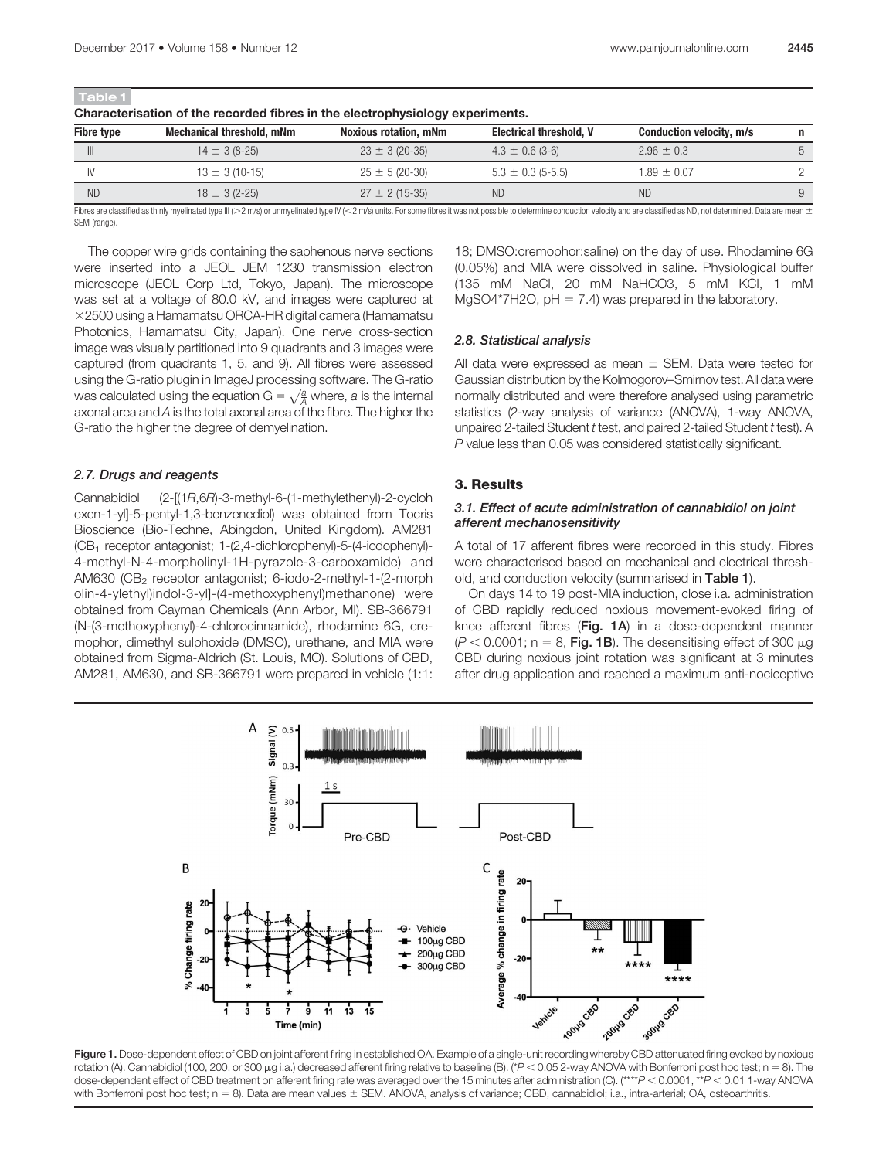| Table 1<br>Characterisation of the recorded fibres in the electrophysiology experiments. |                                                                                                                                                                                                                                |                              |                                |                                 |   |
|------------------------------------------------------------------------------------------|--------------------------------------------------------------------------------------------------------------------------------------------------------------------------------------------------------------------------------|------------------------------|--------------------------------|---------------------------------|---|
| <b>Fibre type</b>                                                                        | <b>Mechanical threshold, mNm</b>                                                                                                                                                                                               | <b>Noxious rotation, mNm</b> | <b>Electrical threshold, V</b> | <b>Conduction velocity, m/s</b> | n |
| $\mathbb{H}$                                                                             | $14 \pm 3 (8-25)$                                                                                                                                                                                                              | $23 \pm 3 (20-35)$           | $4.3 \pm 0.6$ (3-6)            | $2.96 \pm 0.3$                  |   |
| IV                                                                                       | $13 \pm 3(10-15)$                                                                                                                                                                                                              | $25 \pm 5(20-30)$            | $5.3 \pm 0.3$ (5-5.5)          | $1.89 \pm 0.07$                 |   |
| <b>ND</b>                                                                                | $18 \pm 3 (2 - 25)$                                                                                                                                                                                                            | $27 \pm 2(15-35)$            | ND.                            | ND                              |   |
|                                                                                          | Fibros are eleccified as thinly muslimated tune III /s 9 m/o) or unmuglipated tune III /x 9 m/o) unite. For some fibros it was not possible to determine conduction valogity and are eleccified as ND, not determined. Deta ar |                              |                                |                                 |   |

Fibres are classified as thinly myelinated type III (>2 m/s) or unmyelinated type IV (<2 m/s) units. For some fibres it was not possible to determine conduction velocity and are classified as ND, not determined. Data are SEM (range).

The copper wire grids containing the saphenous nerve sections were inserted into a JEOL JEM 1230 transmission electron microscope (JEOL Corp Ltd, Tokyo, Japan). The microscope was set at a voltage of 80.0 kV, and images were captured at  $\times$ 2500 using a Hamamatsu ORCA-HR digital camera (Hamamatsu Photonics, Hamamatsu City, Japan). One nerve cross-section image was visually partitioned into 9 quadrants and 3 images were captured (from quadrants 1, 5, and 9). All fibres were assessed using the G-ratio plugin in ImageJ processing software. The G-ratio was calculated using the equation  $\mathrm{G}=\sqrt{\frac{a}{A}}$  where,  $a$  is the internal axonal area and A is the total axonal area of the fibre. The higher the G-ratio the higher the degree of demyelination.

# 2.7. Drugs and reagents

Cannabidiol (2-[(1R,6R)-3-methyl-6-(1-methylethenyl)-2-cycloh exen-1-yl]-5-pentyl-1,3-benzenediol) was obtained from Tocris Bioscience (Bio-Techne, Abingdon, United Kingdom). AM281 (CB1 receptor antagonist; 1-(2,4-dichlorophenyl)-5-(4-iodophenyl)- 4-methyl-N-4-morpholinyl-1H-pyrazole-3-carboxamide) and AM630 (CB<sub>2</sub> receptor antagonist; 6-iodo-2-methyl-1-(2-morph olin-4-ylethyl)indol-3-yl]-(4-methoxyphenyl)methanone) were obtained from Cayman Chemicals (Ann Arbor, MI). SB-366791 (N-(3-methoxyphenyl)-4-chlorocinnamide), rhodamine 6G, cremophor, dimethyl sulphoxide (DMSO), urethane, and MIA were obtained from Sigma-Aldrich (St. Louis, MO). Solutions of CBD, AM281, AM630, and SB-366791 were prepared in vehicle (1:1: 18; DMSO:cremophor:saline) on the day of use. Rhodamine 6G (0.05%) and MIA were dissolved in saline. Physiological buffer (135 mM NaCl, 20 mM NaHCO3, 5 mM KCl, 1 mM MgSO4\*7H2O,  $pH = 7.4$ ) was prepared in the laboratory.

# 2.8. Statistical analysis

All data were expressed as mean  $\pm$  SEM. Data were tested for Gaussian distribution by the Kolmogorov–Smirnov test. All data were normally distributed and were therefore analysed using parametric statistics (2-way analysis of variance (ANOVA), 1-way ANOVA, unpaired 2-tailed Student t test, and paired 2-tailed Student t test). A P value less than 0.05 was considered statistically significant.

# 3. Results

### 3.1. Effect of acute administration of cannabidiol on joint afferent mechanosensitivity

A total of 17 afferent fibres were recorded in this study. Fibres were characterised based on mechanical and electrical threshold, and conduction velocity (summarised in Table 1).

On days 14 to 19 post-MIA induction, close i.a. administration of CBD rapidly reduced noxious movement-evoked firing of knee afferent fibres (Fig. 1A) in a dose-dependent manner  $(P < 0.0001$ ; n = 8, Fig. 1B). The desensitising effect of 300  $\mu$ g CBD during noxious joint rotation was significant at 3 minutes after drug application and reached a maximum anti-nociceptive



Figure 1. Dose-dependent effect of CBD on joint afferent firing in established OA. Example of a single-unit recording whereby CBD attenuated firing evoked by noxious rotation (A). Cannabidiol (100, 200, or 300 µg i.a.) decreased afferent firing relative to baseline (B). (\*P < 0.05 2-way ANOVA with Bonferroni post hoc test; n = 8). The dose-dependent effect of CBD treatment on afferent firing rate was averaged over the 15 minutes after administration (C). (\*\*\*\*P < 0.0001, \*\*P < 0.01 1-way ANOVA with Bonferroni post hoc test;  $n = 8$ ). Data are mean values  $\pm$  SEM. ANOVA, analysis of variance; CBD, cannabidiol; i.a., intra-arterial; OA, osteoarthritis.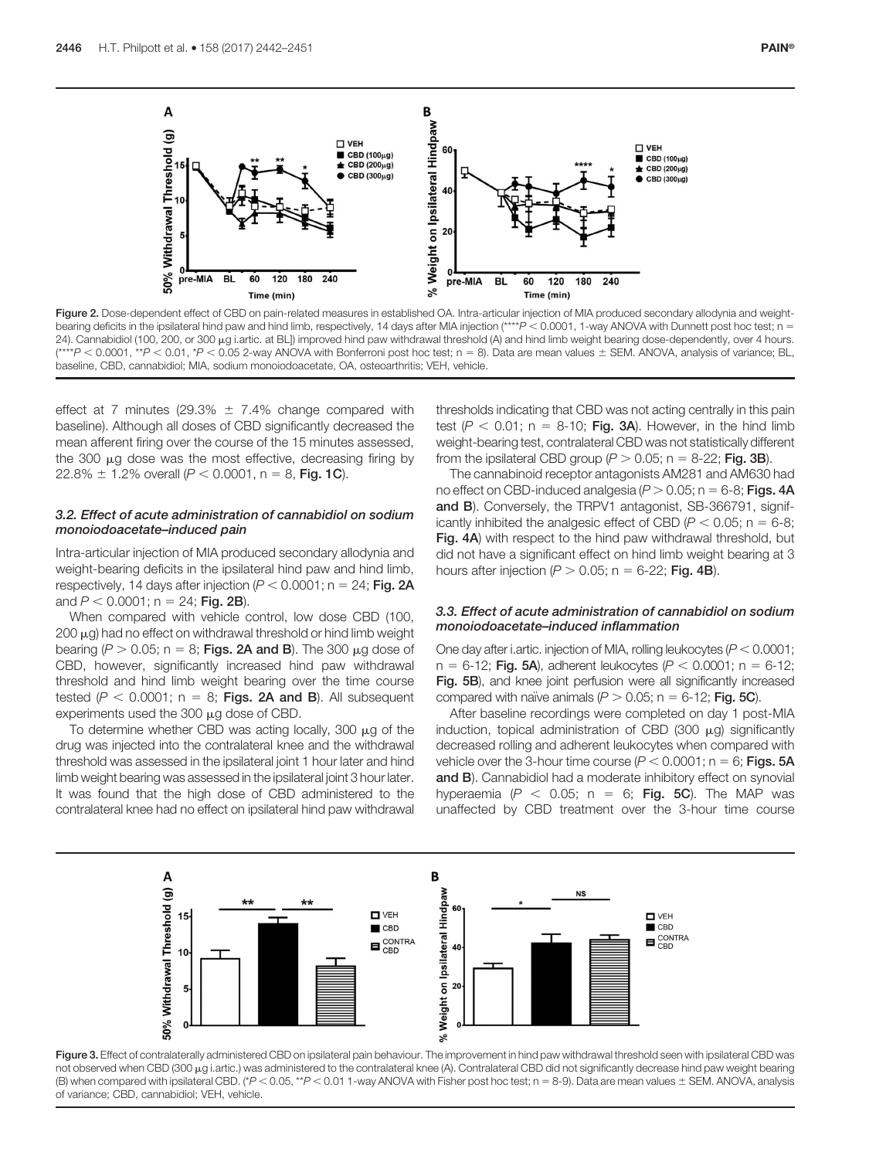

Figure 2. Dose-dependent effect of CBD on pain-related measures in established OA. Intra-articular injection of MIA produced secondary allodynia and weightbearing deficits in the ipsilateral hind paw and hind limb, respectively, 14 days after MIA injection (\*\*\*\*P < 0.0001, 1-way ANOVA with Dunnett post hoc test; n = 24). Cannabidiol (100, 200, or 300 µg i.artic. at BL]) improved hind paw withdrawal threshold (A) and hind limb weight bearing dose-dependently, over 4 hours.  $(***P < 0.0001, **P < 0.01, *P < 0.05$  2-way ANOVA with Bonferroni post hoc test; n = 8). Data are mean values  $\pm$  SEM. ANOVA, analysis of variance; BL, baseline, CBD, cannabidiol; MIA, sodium monoiodoacetate, OA, osteoarthritis; VEH, vehicle.

effect at 7 minutes (29.3%  $\pm$  7.4% change compared with baseline). Although all doses of CBD significantly decreased the mean afferent firing over the course of the 15 minutes assessed, the 300  $\mu$ g dose was the most effective, decreasing firing by 22.8%  $\pm$  1.2% overall (P < 0.0001, n = 8, Fig. 1C).

# 3.2. Effect of acute administration of cannabidiol on sodium monoiodoacetate–induced pain

Intra-articular injection of MIA produced secondary allodynia and weight-bearing deficits in the ipsilateral hind paw and hind limb, respectively, 14 days after injection ( $P < 0.0001$ ; n = 24; Fig. 2A and  $P < 0.0001$ ; n = 24; Fig. 2B).

When compared with vehicle control, low dose CBD (100,  $200 \mu$ g) had no effect on withdrawal threshold or hind limb weight bearing ( $P > 0.05$ ; n = 8; Figs. 2A and B). The 300  $\mu$ g dose of CBD, however, significantly increased hind paw withdrawal threshold and hind limb weight bearing over the time course tested ( $P < 0.0001$ ; n = 8; Figs. 2A and B). All subsequent experiments used the  $300 \mu g$  dose of CBD.

To determine whether CBD was acting locally, 300  $\mu$ g of the drug was injected into the contralateral knee and the withdrawal threshold was assessed in the ipsilateral joint 1 hour later and hind limb weight bearing was assessed in the ipsilateral joint 3 hour later. It was found that the high dose of CBD administered to the contralateral knee had no effect on ipsilateral hind paw withdrawal

thresholds indicating that CBD was not acting centrally in this pain test  $(P < 0.01$ ; n = 8-10; Fig. 3A). However, in the hind limb weight-bearing test, contralateral CBD was not statistically different from the ipsilateral CBD group ( $P > 0.05$ ; n = 8-22; Fig. 3B).

The cannabinoid receptor antagonists AM281 and AM630 had no effect on CBD-induced analgesia ( $P > 0.05$ ; n = 6-8; Figs. 4A and B). Conversely, the TRPV1 antagonist, SB-366791, significantly inhibited the analgesic effect of CBD ( $P < 0.05$ ; n = 6-8; Fig. 4A) with respect to the hind paw withdrawal threshold, but did not have a significant effect on hind limb weight bearing at 3 hours after injection ( $P > 0.05$ ; n = 6-22; Fig. 4B).

# 3.3. Effect of acute administration of cannabidiol on sodium monoiodoacetate–induced inflammation

One day after i.artic. injection of MIA, rolling leukocytes ( $P < 0.0001$ ;  $n = 6-12$ ; Fig. 5A), adherent leukocytes (P < 0.0001; n = 6-12; Fig. 5B), and knee joint perfusion were all significantly increased compared with naïve animals ( $P > 0.05$ ; n = 6-12; Fig. 5C).

After baseline recordings were completed on day 1 post-MIA induction, topical administration of CBD (300  $\mu$ g) significantly decreased rolling and adherent leukocytes when compared with vehicle over the 3-hour time course ( $P < 0.0001$ ; n = 6; Figs. 5A and B). Cannabidiol had a moderate inhibitory effect on synovial hyperaemia ( $P < 0.05$ ; n = 6; Fig. 5C). The MAP was unaffected by CBD treatment over the 3-hour time course



Figure 3. Effect of contralaterally administered CBD on ipsilateral pain behaviour. The improvement in hind paw withdrawal threshold seen with ipsilateral CBD was not observed when CBD (300 µg i.artic.) was administered to the contralateral knee (A). Contralateral CBD did not significantly decrease hind paw weight bearing (B) when compared with ipsilateral CBD. (\* $P < 0.05$ , \*\* $P < 0.01$  1-way ANOVA with Fisher post hoc test; n = 8-9). Data are mean values  $\pm$  SEM. ANOVA, analysis of variance; CBD, cannabidiol; VEH, vehicle.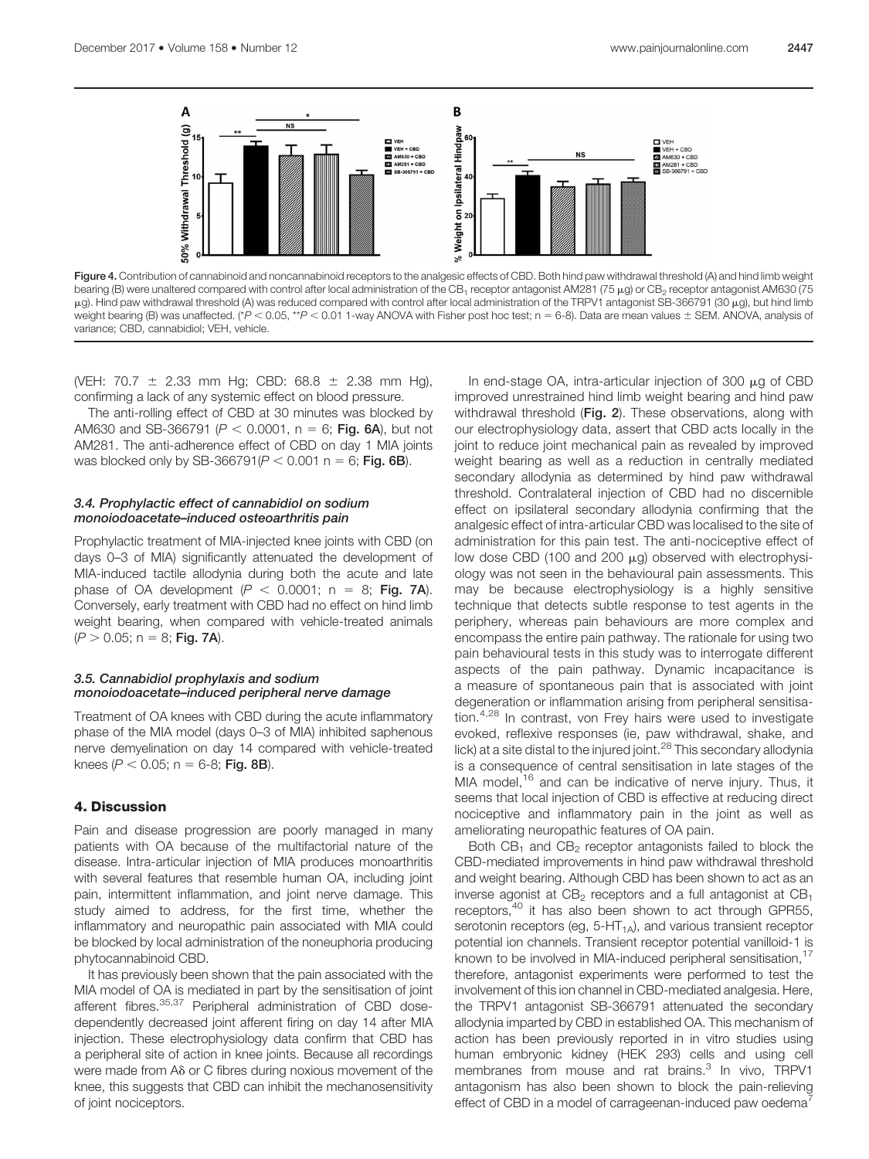

Figure 4. Contribution of cannabinoid and noncannabinoid receptors to the analgesic effects of CBD. Both hind paw withdrawal threshold (A) and hind limb weight bearing (B) were unaltered compared with control after local administration of the CB<sub>1</sub> receptor antagonist AM281 (75 µg) or CB<sub>2</sub> receptor antagonist AM630 (75 μg). Hind paw withdrawal threshold (A) was reduced compared with control after local administration of the TRPV1 antagonist SB-366791 (30 μg), but hind limb weight bearing (B) was unaffected. (\* $P < 0.05$ , \*\* $P < 0.01$  1-way ANOVA with Fisher post hoc test; n = 6-8). Data are mean values  $\pm$  SEM. ANOVA, analysis of variance; CBD, cannabidiol; VEH, vehicle.

(VEH: 70.7  $\pm$  2.33 mm Hg; CBD: 68.8  $\pm$  2.38 mm Hg), confirming a lack of any systemic effect on blood pressure.

The anti-rolling effect of CBD at 30 minutes was blocked by AM630 and SB-366791 ( $P < 0.0001$ , n = 6; Fig. 6A), but not AM281. The anti-adherence effect of CBD on day 1 MIA joints was blocked only by SB-366791( $P < 0.001$  n = 6; Fig. 6B).

#### 3.4. Prophylactic effect of cannabidiol on sodium monoiodoacetate–induced osteoarthritis pain

Prophylactic treatment of MIA-injected knee joints with CBD (on days 0–3 of MIA) significantly attenuated the development of MIA-induced tactile allodynia during both the acute and late phase of OA development  $(P < 0.0001$ ; n = 8; Fig. 7A). Conversely, early treatment with CBD had no effect on hind limb weight bearing, when compared with vehicle-treated animals  $(P > 0.05; n = 8; Fig. 7A)$ .

# 3.5. Cannabidiol prophylaxis and sodium monoiodoacetate–induced peripheral nerve damage

Treatment of OA knees with CBD during the acute inflammatory phase of the MIA model (days 0–3 of MIA) inhibited saphenous nerve demyelination on day 14 compared with vehicle-treated knees ( $P < 0.05$ ; n = 6-8; Fig. 8B).

# 4. Discussion

Pain and disease progression are poorly managed in many patients with OA because of the multifactorial nature of the disease. Intra-articular injection of MIA produces monoarthritis with several features that resemble human OA, including joint pain, intermittent inflammation, and joint nerve damage. This study aimed to address, for the first time, whether the inflammatory and neuropathic pain associated with MIA could be blocked by local administration of the noneuphoria producing phytocannabinoid CBD.

It has previously been shown that the pain associated with the MIA model of OA is mediated in part by the sensitisation of joint afferent fibres.<sup>35,37</sup> Peripheral administration of CBD dosedependently decreased joint afferent firing on day 14 after MIA injection. These electrophysiology data confirm that CBD has a peripheral site of action in knee joints. Because all recordings were made from A $\delta$  or C fibres during noxious movement of the knee, this suggests that CBD can inhibit the mechanosensitivity of joint nociceptors.

In end-stage OA, intra-articular injection of 300  $\mu$ g of CBD improved unrestrained hind limb weight bearing and hind paw withdrawal threshold (Fig. 2). These observations, along with our electrophysiology data, assert that CBD acts locally in the joint to reduce joint mechanical pain as revealed by improved weight bearing as well as a reduction in centrally mediated secondary allodynia as determined by hind paw withdrawal threshold. Contralateral injection of CBD had no discernible effect on ipsilateral secondary allodynia confirming that the analgesic effect of intra-articular CBD was localised to the site of administration for this pain test. The anti-nociceptive effect of low dose CBD (100 and 200  $\mu$ g) observed with electrophysiology was not seen in the behavioural pain assessments. This may be because electrophysiology is a highly sensitive technique that detects subtle response to test agents in the periphery, whereas pain behaviours are more complex and encompass the entire pain pathway. The rationale for using two pain behavioural tests in this study was to interrogate different aspects of the pain pathway. Dynamic incapacitance is a measure of spontaneous pain that is associated with joint degeneration or inflammation arising from peripheral sensitisation.4,28 In contrast, von Frey hairs were used to investigate evoked, reflexive responses (ie, paw withdrawal, shake, and lick) at a site distal to the injured joint.<sup>28</sup> This secondary allodynia is a consequence of central sensitisation in late stages of the MIA model,<sup>16</sup> and can be indicative of nerve injury. Thus, it seems that local injection of CBD is effective at reducing direct nociceptive and inflammatory pain in the joint as well as ameliorating neuropathic features of OA pain.

Both  $CB_1$  and  $CB_2$  receptor antagonists failed to block the CBD-mediated improvements in hind paw withdrawal threshold and weight bearing. Although CBD has been shown to act as an inverse agonist at  $CB<sub>2</sub>$  receptors and a full antagonist at  $CB<sub>1</sub>$ receptors,<sup>40</sup> it has also been shown to act through GPR55, serotonin receptors (eg,  $5-HT<sub>1A</sub>$ ), and various transient receptor potential ion channels. Transient receptor potential vanilloid-1 is known to be involved in MIA-induced peripheral sensitisation,<sup>17</sup> therefore, antagonist experiments were performed to test the involvement of this ion channel in CBD-mediated analgesia. Here, the TRPV1 antagonist SB-366791 attenuated the secondary allodynia imparted by CBD in established OA. This mechanism of action has been previously reported in in vitro studies using human embryonic kidney (HEK 293) cells and using cell membranes from mouse and rat brains.<sup>3</sup> In vivo, TRPV1 antagonism has also been shown to block the pain-relieving effect of CBD in a model of carrageenan-induced paw oedema<sup>7</sup>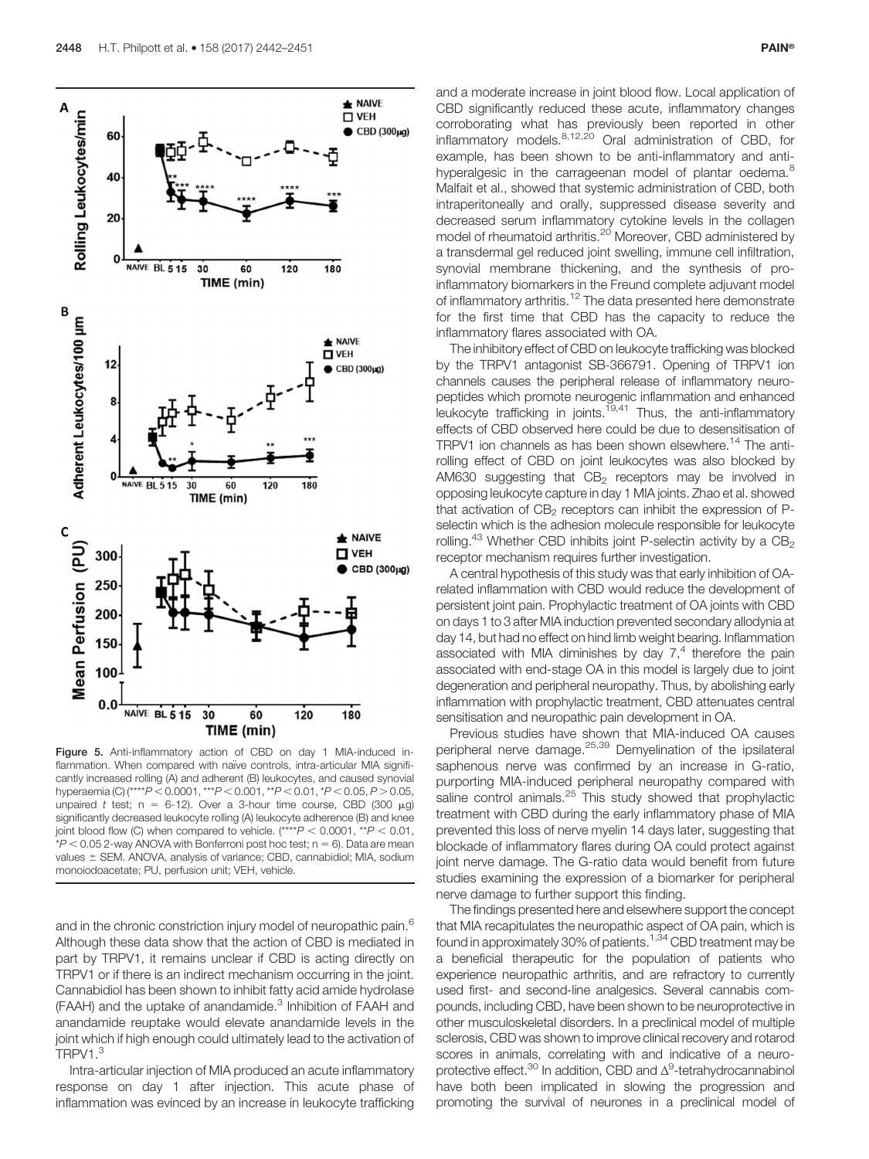

Figure 5. Anti-inflammatory action of CBD on day 1 MIA-induced inflammation. When compared with naïve controls, intra-articular MIA significantly increased rolling (A) and adherent (B) leukocytes, and caused synovial hyperaemia (C) (\*\*\*\* $P < 0.0001$ , \*\*\* $P < 0.001$ , \*\* $P < 0.01$ , \* $P < 0.05$ ,  $P > 0.05$ , unpaired t test; n = 6-12). Over a 3-hour time course, CBD (300  $\mu$ g) significantly decreased leukocyte rolling (A) leukocyte adherence (B) and knee joint blood flow (C) when compared to vehicle. (\*\*\*\* $P < 0.0001$ , \*\* $P < 0.01$ ,  $*P < 0.05$  2-way ANOVA with Bonferroni post hoc test; n = 6). Data are mean values  $\pm$  SEM. ANOVA, analysis of variance; CBD, cannabidiol; MIA, sodium monoiodoacetate; PU, perfusion unit; VEH, vehicle.

and in the chronic constriction injury model of neuropathic pain.<sup>6</sup> Although these data show that the action of CBD is mediated in part by TRPV1, it remains unclear if CBD is acting directly on TRPV1 or if there is an indirect mechanism occurring in the joint. Cannabidiol has been shown to inhibit fatty acid amide hydrolase (FAAH) and the uptake of anandamide.<sup>3</sup> Inhibition of FAAH and anandamide reuptake would elevate anandamide levels in the joint which if high enough could ultimately lead to the activation of TRPV1.<sup>3</sup>

Intra-articular injection of MIA produced an acute inflammatory response on day 1 after injection. This acute phase of inflammation was evinced by an increase in leukocyte trafficking

and a moderate increase in joint blood flow. Local application of CBD significantly reduced these acute, inflammatory changes corroborating what has previously been reported in other inflammatory models.<sup>8,12,20</sup> Oral administration of CBD, for example, has been shown to be anti-inflammatory and antihyperalgesic in the carrageenan model of plantar oedema.<sup>8</sup> Malfait et al., showed that systemic administration of CBD, both intraperitoneally and orally, suppressed disease severity and decreased serum inflammatory cytokine levels in the collagen model of rheumatoid arthritis.<sup>20</sup> Moreover, CBD administered by a transdermal gel reduced joint swelling, immune cell infiltration, synovial membrane thickening, and the synthesis of proinflammatory biomarkers in the Freund complete adjuvant model of inflammatory arthritis.<sup>12</sup> The data presented here demonstrate for the first time that CBD has the capacity to reduce the inflammatory flares associated with OA.

The inhibitory effect of CBD on leukocyte trafficking was blocked by the TRPV1 antagonist SB-366791. Opening of TRPV1 ion channels causes the peripheral release of inflammatory neuropeptides which promote neurogenic inflammation and enhanced leukocyte trafficking in joints.<sup>19,41</sup> Thus, the anti-inflammatory effects of CBD observed here could be due to desensitisation of TRPV1 ion channels as has been shown elsewhere.<sup>14</sup> The antirolling effect of CBD on joint leukocytes was also blocked by AM630 suggesting that  $CB<sub>2</sub>$  receptors may be involved in opposing leukocyte capture in day 1 MIA joints. Zhao et al. showed that activation of  $CB<sub>2</sub>$  receptors can inhibit the expression of Pselectin which is the adhesion molecule responsible for leukocyte rolling.<sup>43</sup> Whether CBD inhibits joint P-selectin activity by a  $CB<sub>2</sub>$ receptor mechanism requires further investigation.

A central hypothesis of this study was that early inhibition of OArelated inflammation with CBD would reduce the development of persistent joint pain. Prophylactic treatment of OA joints with CBD on days 1 to 3 after MIA induction prevented secondary allodynia at day 14, but had no effect on hind limb weight bearing. Inflammation associated with MIA diminishes by day  $7<sup>4</sup>$  therefore the pain associated with end-stage OA in this model is largely due to joint degeneration and peripheral neuropathy. Thus, by abolishing early inflammation with prophylactic treatment, CBD attenuates central sensitisation and neuropathic pain development in OA.

Previous studies have shown that MIA-induced OA causes peripheral nerve damage.<sup>25,39</sup> Demyelination of the ipsilateral saphenous nerve was confirmed by an increase in G-ratio, purporting MIA-induced peripheral neuropathy compared with saline control animals.<sup>25</sup> This study showed that prophylactic treatment with CBD during the early inflammatory phase of MIA prevented this loss of nerve myelin 14 days later, suggesting that blockade of inflammatory flares during OA could protect against joint nerve damage. The G-ratio data would benefit from future studies examining the expression of a biomarker for peripheral nerve damage to further support this finding.

The findings presented here and elsewhere support the concept that MIA recapitulates the neuropathic aspect of OA pain, which is found in approximately 30% of patients.<sup>1,34</sup> CBD treatment may be a beneficial therapeutic for the population of patients who experience neuropathic arthritis, and are refractory to currently used first- and second-line analgesics. Several cannabis compounds, including CBD, have been shown to be neuroprotective in other musculoskeletal disorders. In a preclinical model of multiple sclerosis, CBD was shown to improve clinical recovery and rotarod scores in animals, correlating with and indicative of a neuroprotective effect.<sup>30</sup> In addition, CBD and  $\Delta^9$ -tetrahydrocannabinol have both been implicated in slowing the progression and promoting the survival of neurones in a preclinical model of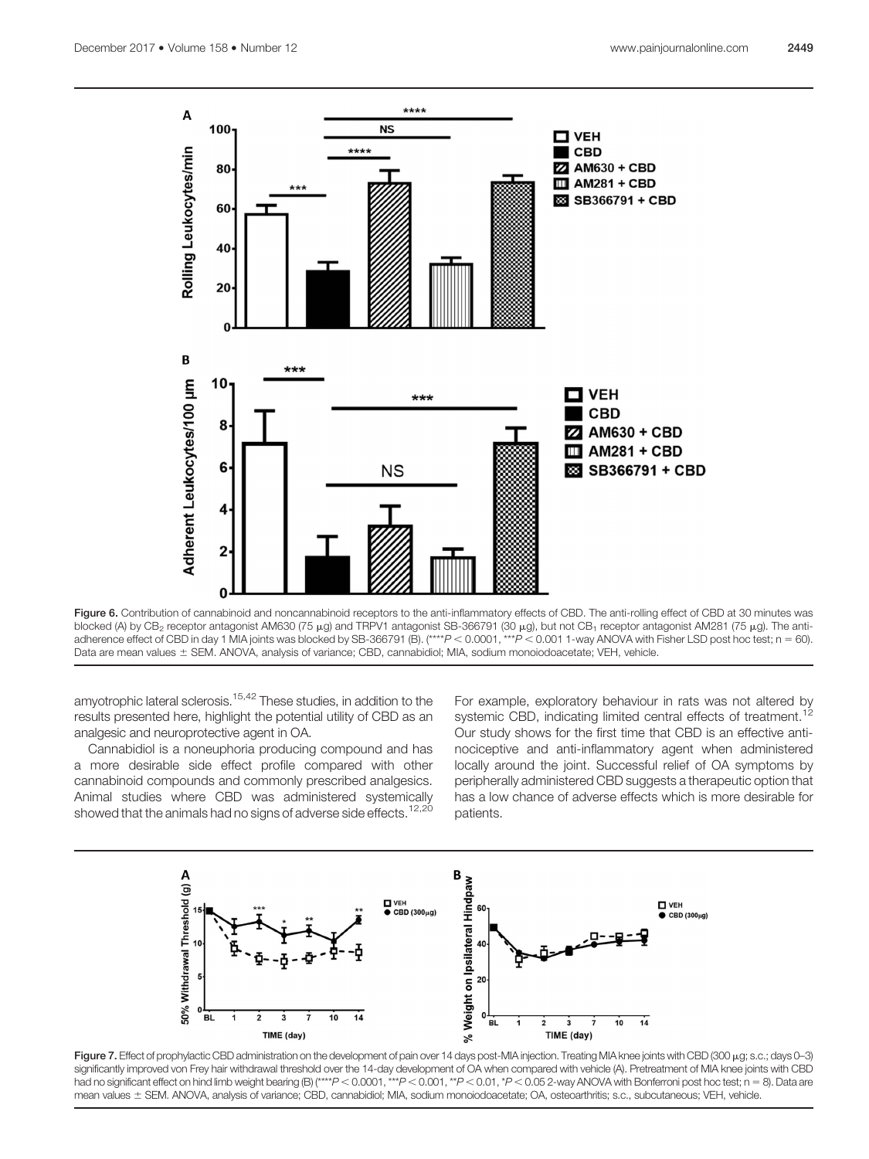

Figure 6. Contribution of cannabinoid and noncannabinoid receptors to the anti-inflammatory effects of CBD. The anti-rolling effect of CBD at 30 minutes was blocked (A) by CB<sub>2</sub> receptor antagonist AM630 (75 μg) and TRPV1 antagonist SB-366791 (30 μg), but not CB<sub>1</sub> receptor antagonist AM281 (75 μg). The antiadherence effect of CBD in day 1 MIA joints was blocked by SB-366791 (B).  $(***P<0.0001,***P<0.0011)$ -way ANOVA with Fisher LSD post hoc test; n = 60). Data are mean values ± SEM. ANOVA, analysis of variance; CBD, cannabidiol; MIA, sodium monoiodoacetate; VEH, vehicle.

amyotrophic lateral sclerosis.<sup>15,42</sup> These studies, in addition to the results presented here, highlight the potential utility of CBD as an analgesic and neuroprotective agent in OA.

Cannabidiol is a noneuphoria producing compound and has a more desirable side effect profile compared with other cannabinoid compounds and commonly prescribed analgesics. Animal studies where CBD was administered systemically showed that the animals had no signs of adverse side effects.<sup>12,20</sup>

For example, exploratory behaviour in rats was not altered by systemic CBD, indicating limited central effects of treatment.<sup>12</sup> Our study shows for the first time that CBD is an effective antinociceptive and anti-inflammatory agent when administered locally around the joint. Successful relief of OA symptoms by peripherally administered CBD suggests a therapeutic option that has a low chance of adverse effects which is more desirable for patients.



Figure 7. Effect of prophylactic CBD administration on the development of pain over 14 days post-MIA injection. Treating MIA knee joints with CBD (300 µg; s.c.; days 0-3) significantly improved von Frey hair withdrawal threshold over the 14-day development of OA when compared with vehicle (A). Pretreatment of MIA knee joints with CBD had no significant effect on hind limb weight bearing (B) (\*\*\*\*P < 0.0001, \*\*\*P < 0.001, \*\*P < 0.01, \*P < 0.05 2-way ANOVA with Bonferroni post hoc test; n = 8). Data are mean values ± SEM. ANOVA, analysis of variance; CBD, cannabidiol; MIA, sodium monoiodoacetate; OA, osteoarthritis; s.c., subcutaneous; VEH, vehicle.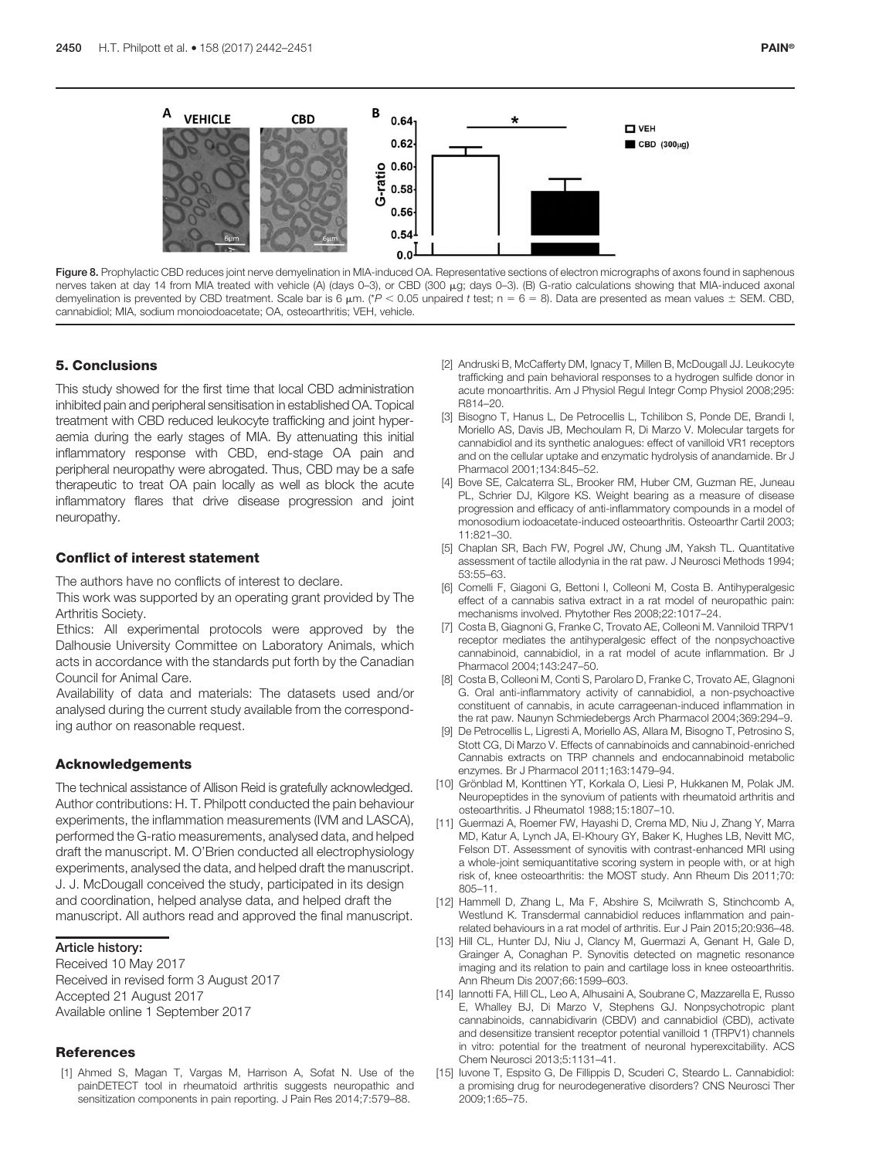

Figure 8. Prophylactic CBD reduces joint nerve demyelination in MIA-induced OA. Representative sections of electron micrographs of axons found in saphenous nerves taken at day 14 from MIA treated with vehicle (A) (days 0-3), or CBD (300 μg; days 0-3). (B) G-ratio calculations showing that MIA-induced axonal demyelination is prevented by CBD treatment. Scale bar is 6  $\mu$ m. (\* $P < 0.05$  unpaired t test; n = 6 = 8). Data are presented as mean values  $\pm$  SEM. CBD, cannabidiol; MIA, sodium monoiodoacetate; OA, osteoarthritis; VEH, vehicle.

# 5. Conclusions

This study showed for the first time that local CBD administration inhibited pain and peripheral sensitisation in established OA. Topical treatment with CBD reduced leukocyte trafficking and joint hyperaemia during the early stages of MIA. By attenuating this initial inflammatory response with CBD, end-stage OA pain and peripheral neuropathy were abrogated. Thus, CBD may be a safe therapeutic to treat OA pain locally as well as block the acute inflammatory flares that drive disease progression and joint neuropathy.

# Conflict of interest statement

The authors have no conflicts of interest to declare.

This work was supported by an operating grant provided by The Arthritis Society.

Ethics: All experimental protocols were approved by the Dalhousie University Committee on Laboratory Animals, which acts in accordance with the standards put forth by the Canadian Council for Animal Care.

Availability of data and materials: The datasets used and/or analysed during the current study available from the corresponding author on reasonable request.

# Acknowledgements

The technical assistance of Allison Reid is gratefully acknowledged. Author contributions: H. T. Philpott conducted the pain behaviour experiments, the inflammation measurements (IVM and LASCA), performed the G-ratio measurements, analysed data, and helped draft the manuscript. M. O'Brien conducted all electrophysiology experiments, analysed the data, and helped draft the manuscript. J. J. McDougall conceived the study, participated in its design and coordination, helped analyse data, and helped draft the manuscript. All authors read and approved the final manuscript.

#### Article history:

Received 10 May 2017 Received in revised form 3 August 2017 Accepted 21 August 2017 Available online 1 September 2017

# References

[1] Ahmed S, Magan T, Vargas M, Harrison A, Sofat N. Use of the painDETECT tool in rheumatoid arthritis suggests neuropathic and sensitization components in pain reporting. J Pain Res 2014;7:579–88.

- [2] Andruski B, McCafferty DM, Ignacy T, Millen B, McDougall JJ. Leukocyte trafficking and pain behavioral responses to a hydrogen sulfide donor in acute monoarthritis. Am J Physiol Regul Integr Comp Physiol 2008;295: R814–20.
- [3] Bisogno T, Hanus L, De Petrocellis L, Tchilibon S, Ponde DE, Brandi I, Moriello AS, Davis JB, Mechoulam R, Di Marzo V. Molecular targets for cannabidiol and its synthetic analogues: effect of vanilloid VR1 receptors and on the cellular uptake and enzymatic hydrolysis of anandamide. Br J Pharmacol 2001;134:845–52.
- [4] Bove SE, Calcaterra SL, Brooker RM, Huber CM, Guzman RE, Juneau PL, Schrier DJ, Kilgore KS. Weight bearing as a measure of disease progression and efficacy of anti-inflammatory compounds in a model of monosodium iodoacetate-induced osteoarthritis. Osteoarthr Cartil 2003; 11:821–30.
- [5] Chaplan SR, Bach FW, Pogrel JW, Chung JM, Yaksh TL. Quantitative assessment of tactile allodynia in the rat paw. J Neurosci Methods 1994; 53:55–63.
- [6] Comelli F, Giagoni G, Bettoni I, Colleoni M, Costa B. Antihyperalgesic effect of a cannabis sativa extract in a rat model of neuropathic pain: mechanisms involved. Phytother Res 2008;22:1017–24.
- [7] Costa B, Giagnoni G, Franke C, Trovato AE, Colleoni M. Vanniloid TRPV1 receptor mediates the antihyperalgesic effect of the nonpsychoactive cannabinoid, cannabidiol, in a rat model of acute inflammation. Br J Pharmacol 2004;143:247–50.
- [8] Costa B, Colleoni M, Conti S, Parolaro D, Franke C, Trovato AE, GIagnoni G. Oral anti-inflammatory activity of cannabidiol, a non-psychoactive constituent of cannabis, in acute carrageenan-induced inflammation in the rat paw. Naunyn Schmiedebergs Arch Pharmacol 2004;369:294–9.
- [9] De Petrocellis L, Ligresti A, Moriello AS, Allara M, Bisogno T, Petrosino S, Stott CG, Di Marzo V. Effects of cannabinoids and cannabinoid-enriched Cannabis extracts on TRP channels and endocannabinoid metabolic enzymes. Br J Pharmacol 2011;163:1479–94.
- [10] Grönblad M, Konttinen YT, Korkala O, Liesi P, Hukkanen M, Polak JM. Neuropeptides in the synovium of patients with rheumatoid arthritis and osteoarthritis. J Rheumatol 1988;15:1807–10.
- [11] Guermazi A, Roemer FW, Hayashi D, Crema MD, Niu J, Zhang Y, Marra MD, Katur A, Lynch JA, El-Khoury GY, Baker K, Hughes LB, Nevitt MC, Felson DT. Assessment of synovitis with contrast-enhanced MRI using a whole-joint semiquantitative scoring system in people with, or at high risk of, knee osteoarthritis: the MOST study. Ann Rheum Dis 2011;70: 805–11.
- [12] Hammell D, Zhang L, Ma F, Abshire S, Mcilwrath S, Stinchcomb A, Westlund K. Transdermal cannabidiol reduces inflammation and painrelated behaviours in a rat model of arthritis. Eur J Pain 2015;20:936–48.
- [13] Hill CL, Hunter DJ, Niu J, Clancy M, Guermazi A, Genant H, Gale D, Grainger A, Conaghan P. Synovitis detected on magnetic resonance imaging and its relation to pain and cartilage loss in knee osteoarthritis. Ann Rheum Dis 2007;66:1599–603.
- [14] Iannotti FA, Hill CL, Leo A, Alhusaini A, Soubrane C, Mazzarella E, Russo E, Whalley BJ, Di Marzo V, Stephens GJ. Nonpsychotropic plant cannabinoids, cannabidivarin (CBDV) and cannabidiol (CBD), activate and desensitize transient receptor potential vanilloid 1 (TRPV1) channels in vitro: potential for the treatment of neuronal hyperexcitability. ACS Chem Neurosci 2013;5:1131–41.
- [15] Iuvone T, Espsito G, De Fillippis D, Scuderi C, Steardo L. Cannabidiol: a promising drug for neurodegenerative disorders? CNS Neurosci Ther 2009;1:65–75.